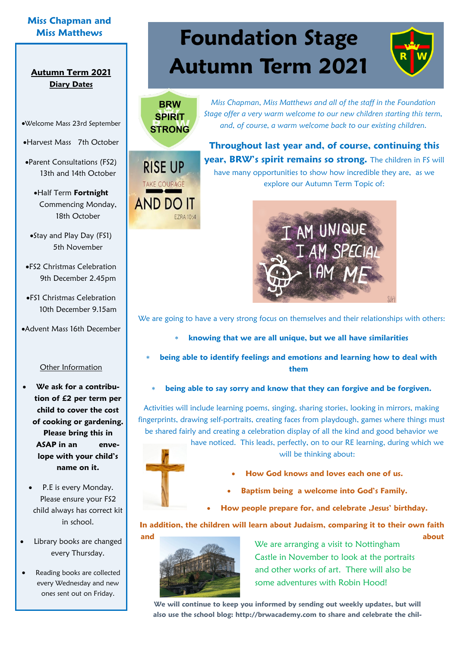## **Miss Chapman and**

## **Diary Dates**

•Welcome Mass 23rd September

•Harvest Mass 7th October

•Parent Consultations (FS2) 13th and 14th October

•Half Term **Fortnight**  Commencing Monday, 18th October

•Stay and Play Day (FS1) 5th November

•FS2 Christmas Celebration 9th December 2.45pm

•FS1 Christmas Celebration 10th December 9.15am

•Advent Mass 16th December

### Other Information

• **We ask for a contribution of £2 per term per child to cover the cost of cooking or gardening. Please bring this in ASAP in an envelope with your child's name on it.**

P.E is every Monday. Please ensure your FS2 child always has correct kit in school.

• Library books are changed every Thursday.

Reading books are collected every Wednesday and new ones sent out on Friday.

# **Miss Matthews Foundation Stage Autumn Term 2021 Autumn Term 2021**



**RISE UP** 

**TAKE COURAGE** 

**AND DO IT** 

**EZRA 10:4** 

*Miss Chapman, Miss Matthews and all of the staff in the Foundation Stage offer a very warm welcome to our new children starting this term, and, of course, a warm welcome back to our existing children.* 

**Throughout last year and, of course, continuing this year, BRW's spirit remains so strong.** The children in FS will have many opportunities to show how incredible they are, as we explore our Autumn Term Topic of:



We are going to have a very strong focus on themselves and their relationships with others:

- **knowing that we are all unique, but we all have similarities**
- **being able to identify feelings and emotions and learning how to deal with them** 
	- **being able to say sorry and know that they can forgive and be forgiven.**

Activities will include learning poems, singing, sharing stories, looking in mirrors, making fingerprints, drawing self-portraits, creating faces from playdough, games where things must be shared fairly and creating a celebration display of all the kind and good behavior we



will be thinking about:

- **How God knows and loves each one of us.**
- **Baptism being a welcome into God's Family.**
- **How people prepare for, and celebrate ,Jesus' birthday.**

**In addition, the children will learn about Judaism, comparing it to their own faith and about** 



We are arranging a visit to Nottingham Castle in November to look at the portraits and other works of art. There will also be some adventures with Robin Hood!

**We will continue to keep you informed by sending out weekly updates, but will also use the school blog: http://brwacademy.com to share and celebrate the chil-**